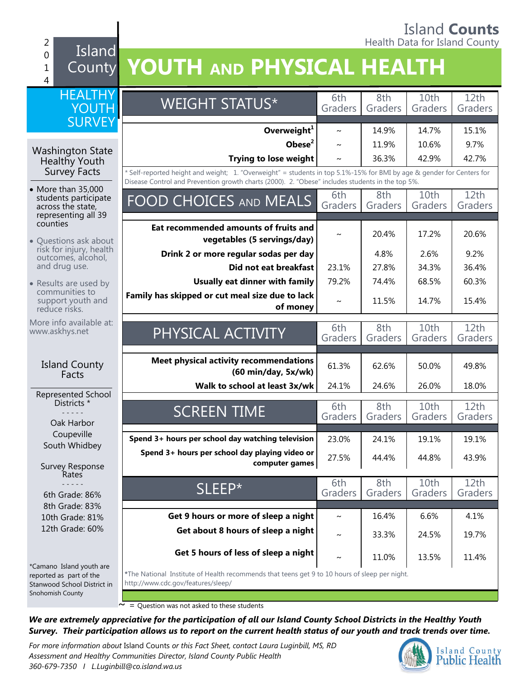#### Island **Counts** 2 **Alternative County of the County of the County of the County of the County of the County of the County of the County of the County of the County of the County of the County of the County of the County of the County of t** 0 1 4 Island County **YOUTH AND PHYSICAL HEALTH HEALTHY** YOUTH **SURVEY** WEIGHT STATUS\* 6th Graders 8th Graders  $10th$ Graders 12th Graders **Overweight<sup>1</sup>**  $\sim$  14.9% 14.7% 15.1% **Obese<sup>2</sup> |**  $\sim$  **| 11.9% | 10.6% | 9.7% Trying to lose weight**  $\sim$   $\frac{1}{36.3\%}$  42.9% 42.7% *\** Self-reported height and weight; 1. "Overweight" = students in top 5.1%-15% for BMI by age & gender for Centers for Disease Control and Prevention growth charts (2000). 2. "Obese" includes students in the top 5%. FOOD CHOICES AND MEALS Grade Graders 8th Graders  $10th$ Graders  $12th$ Graders **Eat recommended amounts of fruits and vegetables (5 servings/day)**  $\sim$  20.4% 17.2% 20.6% **Drink 2 or more regular sodas per day** | 4.8% | 2.6% | 9.2% **Did not eat breakfast** | 23.1% | 27.8% | 34.3% | 36.4% **Usually eat dinner with family** 79.2% 74.4% 68.5% 60.3% **Family has skipped or cut meal size due to lack of money**  $\sim$  11.5% 14.7% 15.4% PHYSICAL ACTIVITY 6th Graders 8th Graders 10th Graders 12th Graders **Meet physical activity recommendations (60 min/day, 5x/wk)** 61.3% 62.6% 60.0% 49.8% **Walk to school at least 3x/wk** 24.1% 24.6% 26.0% 26.0% SCREEN TIME 6th Graders 8th Graders 10th Graders 12th Graders **Spend 3+ hours per school day watching television** 23.0% 24.1% 19.1% 19.1% **Spend 3+ hours per school day playing video or computer games** 27.5% 44.4% 44.8% 43.9%  $SLEEP^*$  6th Graders 8th Graders 10th Graders 12th Graders **Get 9 hours or more of sleep a night**  $\sim$  16.4% 6.6% 4.1% **Get about 8 hours of sleep a night**  $\begin{array}{|c|c|c|c|c|}\n\hline\n\text{ } & \text{ } & 33.3\% & 24.5\% & 19.7\% \hline\n\end{array}$ **Get 5 hours of less of sleep a night**  $\begin{array}{|c|c|c|c|c|}\n\hline\n\text{A} & 11.0\% & 13.5\% & 11.4\% \n\end{array}$ **\***The National Institute of Health recommends that teens get 9 to 10 hours of sleep per night. http://www.cdc.gov/features/sleep/ Washington State Healthy Youth Survey Facts • More than 35,000 students participate across the state, representing all 39 counties Questions ask about risk for injury, health outcomes, alcohol, and drug use. • Results are used by communities to support youth and reduce risks. More info available at: www.askhys.net Island County Facts Represented School Districts \* - - - - - Oak Harbor Coupeville South Whidbey Survey Response Rates - - - - - 6th Grade: 86% 8th Grade: 83% 10th Grade: 81% 12th Grade: 60% \*Camano Island youth are reported as part of the Stanwood School District in Snohomish County ~ = Question was not asked to these students

*We are extremely appreciative for the participation of all our Island County School Districts in the Healthy Youth Survey. Their participation allows us to report on the current health status of our youth and track trends over time.*

*For more information about* Island Counts *or this Fact Sheet, contact Laura Luginbill, MS, RD Assessment and Healthy Communities Director, Island County Public Health 360-679-7350 I L.Luginbill@co.island.wa.us*